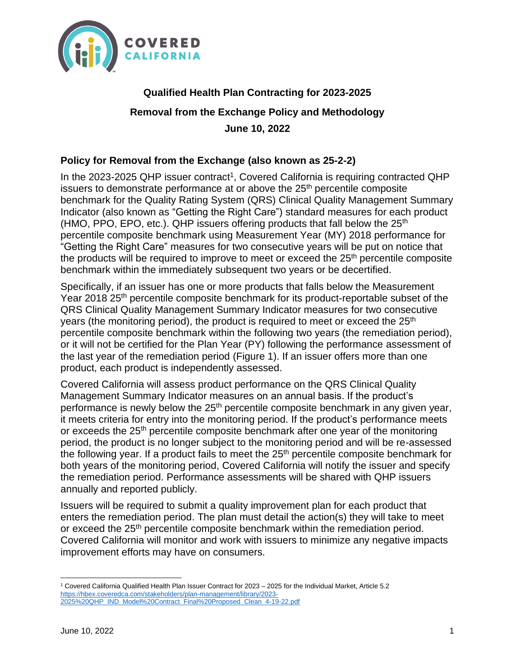

# **Qualified Health Plan Contracting for 2023-2025 Removal from the Exchange Policy and Methodology June 10, 2022**

### **Policy for Removal from the Exchange (also known as 25-2-2)**

In the 2023-2025 QHP issuer contract<sup>1</sup>, Covered California is requiring contracted QHP issuers to demonstrate performance at or above the  $25<sup>th</sup>$  percentile composite benchmark for the Quality Rating System (QRS) Clinical Quality Management Summary Indicator (also known as "Getting the Right Care") standard measures for each product (HMO, PPO, EPO, etc.). QHP issuers offering products that fall below the  $25<sup>th</sup>$ percentile composite benchmark using Measurement Year (MY) 2018 performance for "Getting the Right Care" measures for two consecutive years will be put on notice that the products will be required to improve to meet or exceed the 25<sup>th</sup> percentile composite benchmark within the immediately subsequent two years or be decertified.

Specifically, if an issuer has one or more products that falls below the Measurement Year 2018 25th percentile composite benchmark for its product-reportable subset of the QRS Clinical Quality Management Summary Indicator measures for two consecutive years (the monitoring period), the product is required to meet or exceed the  $25<sup>th</sup>$ percentile composite benchmark within the following two years (the remediation period), or it will not be certified for the Plan Year (PY) following the performance assessment of the last year of the remediation period (Figure 1). If an issuer offers more than one product, each product is independently assessed.

Covered California will assess product performance on the QRS Clinical Quality Management Summary Indicator measures on an annual basis. If the product's performance is newly below the 25<sup>th</sup> percentile composite benchmark in any given year, it meets criteria for entry into the monitoring period. If the product's performance meets or exceeds the 25<sup>th</sup> percentile composite benchmark after one year of the monitoring period, the product is no longer subject to the monitoring period and will be re-assessed the following year. If a product fails to meet the 25<sup>th</sup> percentile composite benchmark for both years of the monitoring period, Covered California will notify the issuer and specify the remediation period. Performance assessments will be shared with QHP issuers annually and reported publicly.

Issuers will be required to submit a quality improvement plan for each product that enters the remediation period. The plan must detail the action(s) they will take to meet or exceed the 25<sup>th</sup> percentile composite benchmark within the remediation period. Covered California will monitor and work with issuers to minimize any negative impacts improvement efforts may have on consumers.

<sup>1</sup> Covered California Qualified Health Plan Issuer Contract for 2023 – 2025 for the Individual Market, Article 5.2 [https://hbex.coveredca.com/stakeholders/plan-management/library/2023-](https://hbex.coveredca.com/stakeholders/plan-management/library/2023-2025%20QHP_IND_Model%20Contract_Final%20Proposed_Clean_4-19-22.pdf) [2025%20QHP\\_IND\\_Model%20Contract\\_Final%20Proposed\\_Clean\\_4-19-22.pdf](https://hbex.coveredca.com/stakeholders/plan-management/library/2023-2025%20QHP_IND_Model%20Contract_Final%20Proposed_Clean_4-19-22.pdf)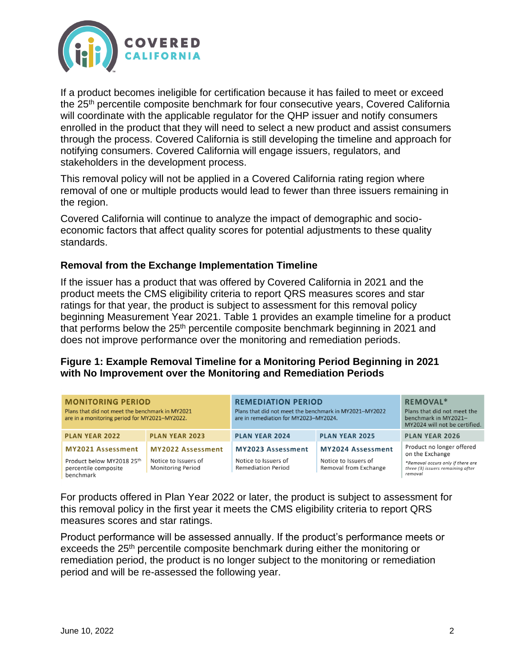

If a product becomes ineligible for certification because it has failed to meet or exceed the 25<sup>th</sup> percentile composite benchmark for four consecutive years, Covered California will coordinate with the applicable regulator for the QHP issuer and notify consumers enrolled in the product that they will need to select a new product and assist consumers through the process. Covered California is still developing the timeline and approach for notifying consumers. Covered California will engage issuers, regulators, and stakeholders in the development process.

This removal policy will not be applied in a Covered California rating region where removal of one or multiple products would lead to fewer than three issuers remaining in the region.

Covered California will continue to analyze the impact of demographic and socioeconomic factors that affect quality scores for potential adjustments to these quality standards.

#### **Removal from the Exchange Implementation Timeline**

If the issuer has a product that was offered by Covered California in 2021 and the product meets the CMS eligibility criteria to report QRS measures scores and star ratings for that year, the product is subject to assessment for this removal policy beginning Measurement Year 2021. Table 1 provides an example timeline for a product that performs below the 25<sup>th</sup> percentile composite benchmark beginning in 2021 and does not improve performance over the monitoring and remediation periods.

#### **Figure 1: Example Removal Timeline for a Monitoring Period Beginning in 2021 with No Improvement over the Monitoring and Remediation Periods**

| <b>MONITORING PERIOD</b><br>Plans that did not meet the benchmark in MY2021<br>are in a monitoring period for MY2021-MY2022. |                                                                              | <b>REMEDIATION PERIOD</b><br>Plans that did not meet the benchmark in MY2021-MY2022<br>are in remediation for MY2023-MY2024. |                                                                    | <b>REMOVAL*</b><br>Plans that did not meet the<br>benchmark in MY2021-<br>MY2024 will not be certified.                           |  |
|------------------------------------------------------------------------------------------------------------------------------|------------------------------------------------------------------------------|------------------------------------------------------------------------------------------------------------------------------|--------------------------------------------------------------------|-----------------------------------------------------------------------------------------------------------------------------------|--|
| <b>PLAN YEAR 2022</b>                                                                                                        | <b>PLAN YEAR 2023</b>                                                        | <b>PLAN YEAR 2024</b>                                                                                                        | <b>PLAN YEAR 2025</b>                                              | <b>PLAN YEAR 2026</b>                                                                                                             |  |
| <b>MY2021 Assessment</b><br>Product below MY2018 25th<br>percentile composite<br>benchmark                                   | <b>MY2022 Assessment</b><br>Notice to Issuers of<br><b>Monitoring Period</b> | MY2023 Assessment<br>Notice to Issuers of<br><b>Remediation Period</b>                                                       | MY2024 Assessment<br>Notice to Issuers of<br>Removal from Exchange | Product no longer offered<br>on the Exchange<br>*Removal occurs only if there are<br>three (3) issuers remaining after<br>removal |  |

For products offered in Plan Year 2022 or later, the product is subject to assessment for this removal policy in the first year it meets the CMS eligibility criteria to report QRS measures scores and star ratings.

Product performance will be assessed annually. If the product's performance meets or exceeds the 25<sup>th</sup> percentile composite benchmark during either the monitoring or remediation period, the product is no longer subject to the monitoring or remediation period and will be re-assessed the following year.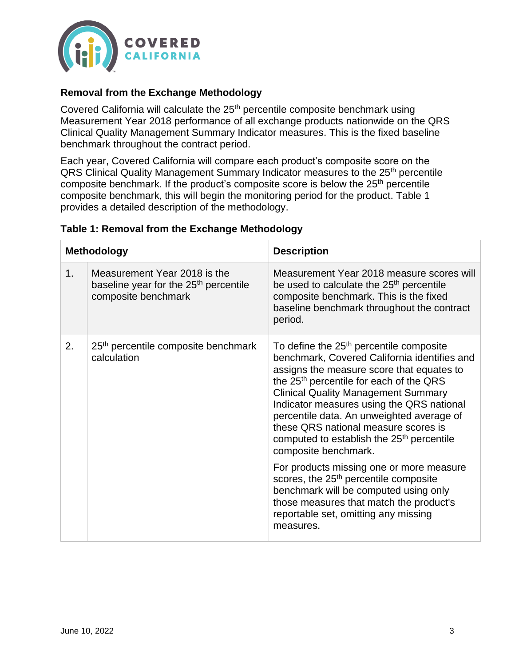

### **Removal from the Exchange Methodology**

Covered California will calculate the 25<sup>th</sup> percentile composite benchmark using Measurement Year 2018 performance of all exchange products nationwide on the QRS Clinical Quality Management Summary Indicator measures. This is the fixed baseline benchmark throughout the contract period.

Each year, Covered California will compare each product's composite score on the QRS Clinical Quality Management Summary Indicator measures to the 25<sup>th</sup> percentile composite benchmark. If the product's composite score is below the 25<sup>th</sup> percentile composite benchmark, this will begin the monitoring period for the product. Table 1 provides a detailed description of the methodology.

|                | <b>Methodology</b>                                                                                       | <b>Description</b>                                                                                                                                                                                                                                                                                                                                                                                                                                                       |
|----------------|----------------------------------------------------------------------------------------------------------|--------------------------------------------------------------------------------------------------------------------------------------------------------------------------------------------------------------------------------------------------------------------------------------------------------------------------------------------------------------------------------------------------------------------------------------------------------------------------|
| 1 <sub>1</sub> | Measurement Year 2018 is the<br>baseline year for the 25 <sup>th</sup> percentile<br>composite benchmark | Measurement Year 2018 measure scores will<br>be used to calculate the 25 <sup>th</sup> percentile<br>composite benchmark. This is the fixed<br>baseline benchmark throughout the contract<br>period.                                                                                                                                                                                                                                                                     |
| 2.             | 25 <sup>th</sup> percentile composite benchmark<br>calculation                                           | To define the 25 <sup>th</sup> percentile composite<br>benchmark, Covered California identifies and<br>assigns the measure score that equates to<br>the 25 <sup>th</sup> percentile for each of the QRS<br><b>Clinical Quality Management Summary</b><br>Indicator measures using the QRS national<br>percentile data. An unweighted average of<br>these QRS national measure scores is<br>computed to establish the 25 <sup>th</sup> percentile<br>composite benchmark. |
|                |                                                                                                          | For products missing one or more measure<br>scores, the 25 <sup>th</sup> percentile composite<br>benchmark will be computed using only<br>those measures that match the product's<br>reportable set, omitting any missing<br>measures.                                                                                                                                                                                                                                   |

#### **Table 1: Removal from the Exchange Methodology**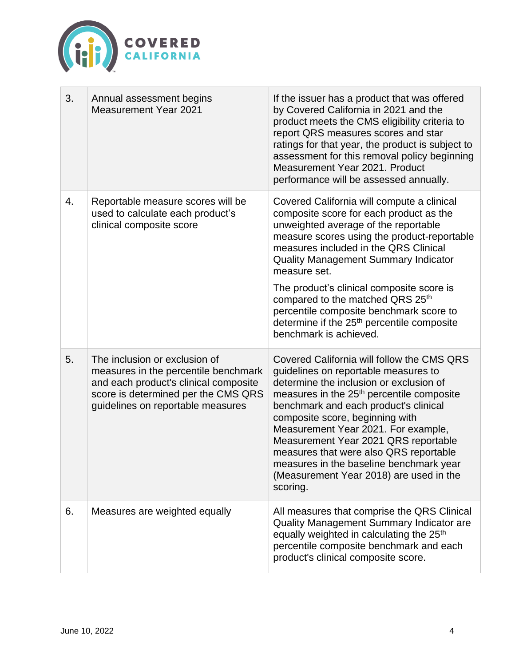

| 3. | Annual assessment begins<br><b>Measurement Year 2021</b>                                                                                                                                   | If the issuer has a product that was offered<br>by Covered California in 2021 and the<br>product meets the CMS eligibility criteria to<br>report QRS measures scores and star<br>ratings for that year, the product is subject to<br>assessment for this removal policy beginning<br>Measurement Year 2021. Product<br>performance will be assessed annually.                                                                                                                                 |
|----|--------------------------------------------------------------------------------------------------------------------------------------------------------------------------------------------|-----------------------------------------------------------------------------------------------------------------------------------------------------------------------------------------------------------------------------------------------------------------------------------------------------------------------------------------------------------------------------------------------------------------------------------------------------------------------------------------------|
| 4. | Reportable measure scores will be<br>used to calculate each product's<br>clinical composite score                                                                                          | Covered California will compute a clinical<br>composite score for each product as the<br>unweighted average of the reportable<br>measure scores using the product-reportable<br>measures included in the QRS Clinical<br><b>Quality Management Summary Indicator</b><br>measure set.                                                                                                                                                                                                          |
|    |                                                                                                                                                                                            | The product's clinical composite score is<br>compared to the matched QRS 25th<br>percentile composite benchmark score to<br>determine if the 25 <sup>th</sup> percentile composite<br>benchmark is achieved.                                                                                                                                                                                                                                                                                  |
| 5. | The inclusion or exclusion of<br>measures in the percentile benchmark<br>and each product's clinical composite<br>score is determined per the CMS QRS<br>guidelines on reportable measures | Covered California will follow the CMS QRS<br>guidelines on reportable measures to<br>determine the inclusion or exclusion of<br>measures in the 25 <sup>th</sup> percentile composite<br>benchmark and each product's clinical<br>composite score, beginning with<br>Measurement Year 2021. For example,<br>Measurement Year 2021 QRS reportable<br>measures that were also QRS reportable<br>measures in the baseline benchmark year<br>(Measurement Year 2018) are used in the<br>scoring. |
| 6. | Measures are weighted equally                                                                                                                                                              | All measures that comprise the QRS Clinical<br>Quality Management Summary Indicator are<br>equally weighted in calculating the 25 <sup>th</sup><br>percentile composite benchmark and each<br>product's clinical composite score.                                                                                                                                                                                                                                                             |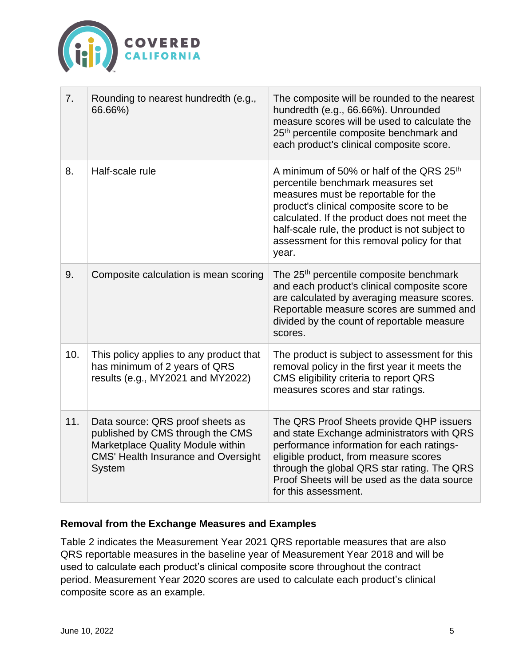

| 7.  | Rounding to nearest hundredth (e.g.,<br>66.66%)                                                                                                                   | The composite will be rounded to the nearest<br>hundredth (e.g., 66.66%). Unrounded<br>measure scores will be used to calculate the<br>25 <sup>th</sup> percentile composite benchmark and<br>each product's clinical composite score.                                                                                                 |
|-----|-------------------------------------------------------------------------------------------------------------------------------------------------------------------|----------------------------------------------------------------------------------------------------------------------------------------------------------------------------------------------------------------------------------------------------------------------------------------------------------------------------------------|
| 8.  | Half-scale rule                                                                                                                                                   | A minimum of 50% or half of the QRS 25 <sup>th</sup><br>percentile benchmark measures set<br>measures must be reportable for the<br>product's clinical composite score to be<br>calculated. If the product does not meet the<br>half-scale rule, the product is not subject to<br>assessment for this removal policy for that<br>year. |
| 9.  | Composite calculation is mean scoring                                                                                                                             | The 25 <sup>th</sup> percentile composite benchmark<br>and each product's clinical composite score<br>are calculated by averaging measure scores.<br>Reportable measure scores are summed and<br>divided by the count of reportable measure<br>scores.                                                                                 |
| 10. | This policy applies to any product that<br>has minimum of 2 years of QRS<br>results (e.g., MY2021 and MY2022)                                                     | The product is subject to assessment for this<br>removal policy in the first year it meets the<br>CMS eligibility criteria to report QRS<br>measures scores and star ratings.                                                                                                                                                          |
| 11. | Data source: QRS proof sheets as<br>published by CMS through the CMS<br>Marketplace Quality Module within<br><b>CMS' Health Insurance and Oversight</b><br>System | The QRS Proof Sheets provide QHP issuers<br>and state Exchange administrators with QRS<br>performance information for each ratings-<br>eligible product, from measure scores<br>through the global QRS star rating. The QRS<br>Proof Sheets will be used as the data source<br>for this assessment.                                    |

## **Removal from the Exchange Measures and Examples**

Table 2 indicates the Measurement Year 2021 QRS reportable measures that are also QRS reportable measures in the baseline year of Measurement Year 2018 and will be used to calculate each product's clinical composite score throughout the contract period. Measurement Year 2020 scores are used to calculate each product's clinical composite score as an example.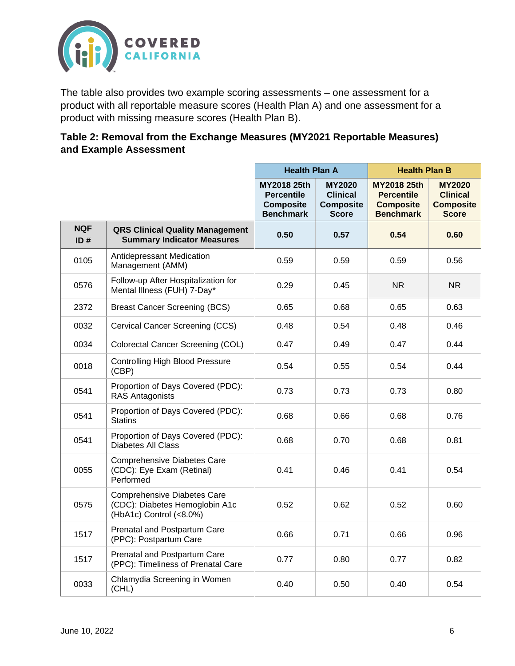

The table also provides two example scoring assessments – one assessment for a product with all reportable measure scores (Health Plan A) and one assessment for a product with missing measure scores (Health Plan B).

| Table 2: Removal from the Exchange Measures (MY2021 Reportable Measures) |  |
|--------------------------------------------------------------------------|--|
| and Example Assessment                                                   |  |

|                   |                                                                                                 | <b>Health Plan A</b>                                                     |                                                                      | <b>Health Plan B</b>                                                     |                                                                      |
|-------------------|-------------------------------------------------------------------------------------------------|--------------------------------------------------------------------------|----------------------------------------------------------------------|--------------------------------------------------------------------------|----------------------------------------------------------------------|
|                   |                                                                                                 | MY2018 25th<br><b>Percentile</b><br><b>Composite</b><br><b>Benchmark</b> | <b>MY2020</b><br><b>Clinical</b><br><b>Composite</b><br><b>Score</b> | MY2018 25th<br><b>Percentile</b><br><b>Composite</b><br><b>Benchmark</b> | <b>MY2020</b><br><b>Clinical</b><br><b>Composite</b><br><b>Score</b> |
| <b>NQF</b><br>ID# | <b>QRS Clinical Quality Management</b><br><b>Summary Indicator Measures</b>                     | 0.50                                                                     | 0.57                                                                 | 0.54                                                                     | 0.60                                                                 |
| 0105              | Antidepressant Medication<br>Management (AMM)                                                   | 0.59                                                                     | 0.59                                                                 | 0.59                                                                     | 0.56                                                                 |
| 0576              | Follow-up After Hospitalization for<br>Mental Illness (FUH) 7-Day*                              | 0.29                                                                     | 0.45                                                                 | NR.                                                                      | <b>NR</b>                                                            |
| 2372              | <b>Breast Cancer Screening (BCS)</b>                                                            | 0.65                                                                     | 0.68                                                                 | 0.65                                                                     | 0.63                                                                 |
| 0032              | Cervical Cancer Screening (CCS)                                                                 | 0.48                                                                     | 0.54                                                                 | 0.48                                                                     | 0.46                                                                 |
| 0034              | Colorectal Cancer Screening (COL)                                                               | 0.47                                                                     | 0.49                                                                 | 0.47                                                                     | 0.44                                                                 |
| 0018              | <b>Controlling High Blood Pressure</b><br>(CBP)                                                 | 0.54                                                                     | 0.55                                                                 | 0.54                                                                     | 0.44                                                                 |
| 0541              | Proportion of Days Covered (PDC):<br>RAS Antagonists                                            | 0.73                                                                     | 0.73                                                                 | 0.73                                                                     | 0.80                                                                 |
| 0541              | Proportion of Days Covered (PDC):<br><b>Statins</b>                                             | 0.68                                                                     | 0.66                                                                 | 0.68                                                                     | 0.76                                                                 |
| 0541              | Proportion of Days Covered (PDC):<br><b>Diabetes All Class</b>                                  | 0.68                                                                     | 0.70                                                                 | 0.68                                                                     | 0.81                                                                 |
| 0055              | <b>Comprehensive Diabetes Care</b><br>(CDC): Eye Exam (Retinal)<br>Performed                    | 0.41                                                                     | 0.46                                                                 | 0.41                                                                     | 0.54                                                                 |
| 0575              | <b>Comprehensive Diabetes Care</b><br>(CDC): Diabetes Hemoglobin A1c<br>(HbA1c) Control (<8.0%) | 0.52                                                                     | 0.62                                                                 | 0.52                                                                     | 0.60                                                                 |
| 1517              | Prenatal and Postpartum Care<br>(PPC): Postpartum Care                                          | 0.66                                                                     | 0.71                                                                 | 0.66                                                                     | 0.96                                                                 |
| 1517              | Prenatal and Postpartum Care<br>(PPC): Timeliness of Prenatal Care                              | 0.77                                                                     | 0.80                                                                 | 0.77                                                                     | 0.82                                                                 |
| 0033              | Chlamydia Screening in Women<br>(CHL)                                                           | 0.40                                                                     | 0.50                                                                 | 0.40                                                                     | 0.54                                                                 |